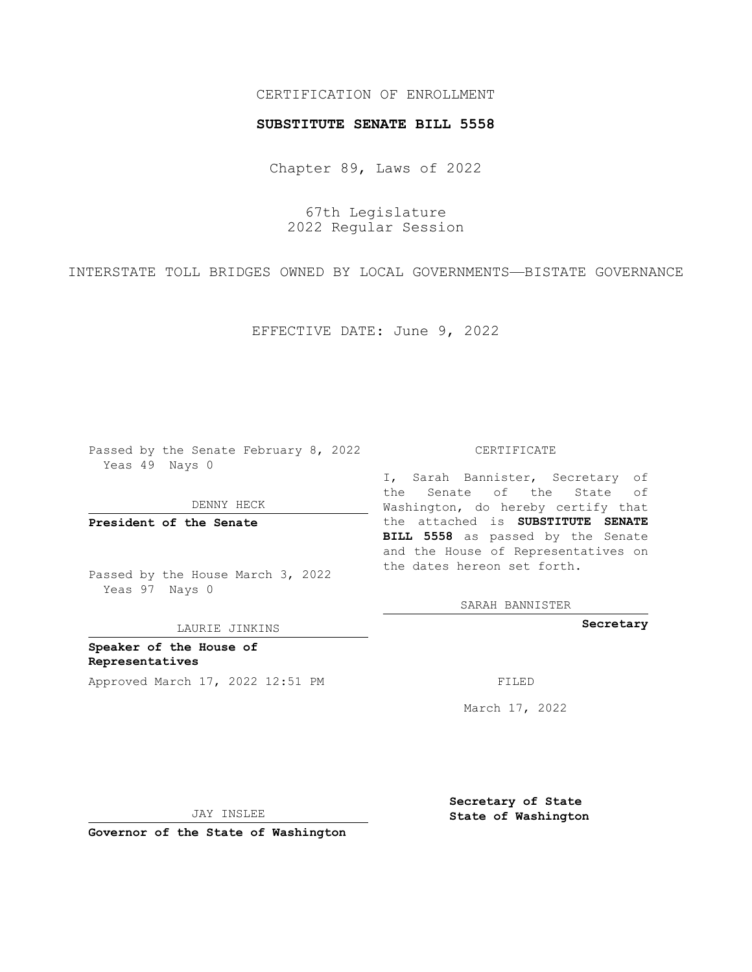## CERTIFICATION OF ENROLLMENT

### **SUBSTITUTE SENATE BILL 5558**

Chapter 89, Laws of 2022

67th Legislature 2022 Regular Session

INTERSTATE TOLL BRIDGES OWNED BY LOCAL GOVERNMENTS—BISTATE GOVERNANCE

EFFECTIVE DATE: June 9, 2022

Passed by the Senate February 8, 2022 Yeas 49 Nays 0

DENNY HECK

**President of the Senate**

Passed by the House March 3, 2022 Yeas 97 Nays 0

LAURIE JINKINS

**Speaker of the House of Representatives** Approved March 17, 2022 12:51 PM FILED

#### CERTIFICATE

I, Sarah Bannister, Secretary of the Senate of the State of Washington, do hereby certify that the attached is **SUBSTITUTE SENATE BILL 5558** as passed by the Senate and the House of Representatives on the dates hereon set forth.

SARAH BANNISTER

**Secretary**

March 17, 2022

JAY INSLEE

**Governor of the State of Washington**

**Secretary of State State of Washington**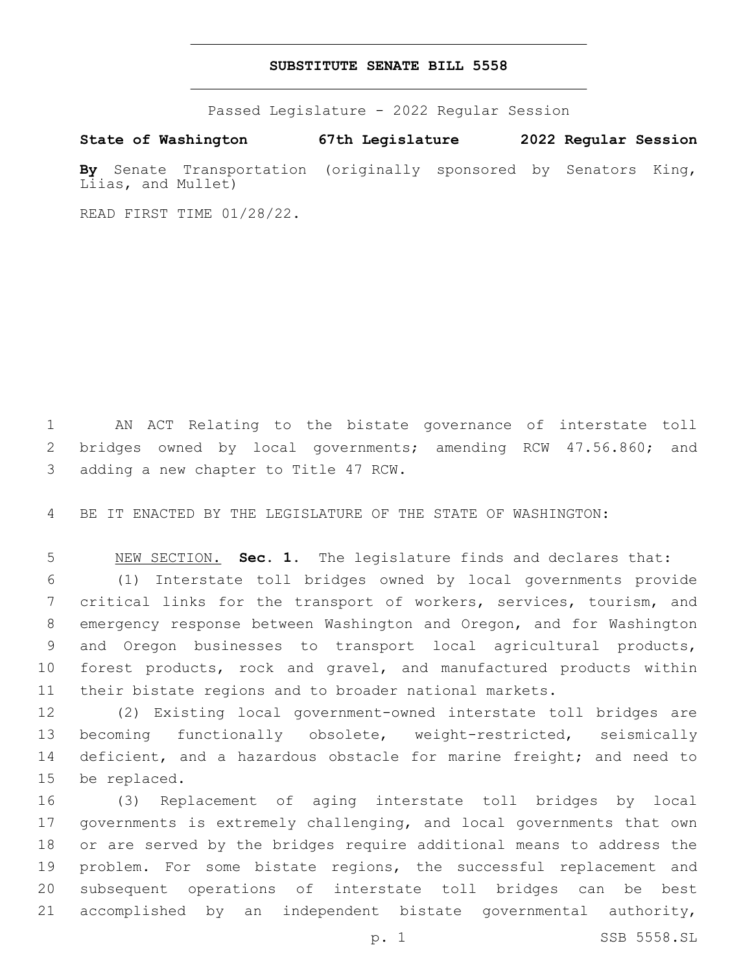## **SUBSTITUTE SENATE BILL 5558**

Passed Legislature - 2022 Regular Session

**State of Washington 67th Legislature 2022 Regular Session By** Senate Transportation (originally sponsored by Senators King, Liias, and Mullet)

READ FIRST TIME 01/28/22.

 AN ACT Relating to the bistate governance of interstate toll bridges owned by local governments; amending RCW 47.56.860; and 3 adding a new chapter to Title 47 RCW.

BE IT ENACTED BY THE LEGISLATURE OF THE STATE OF WASHINGTON:

 NEW SECTION. **Sec. 1.** The legislature finds and declares that: (1) Interstate toll bridges owned by local governments provide critical links for the transport of workers, services, tourism, and emergency response between Washington and Oregon, and for Washington and Oregon businesses to transport local agricultural products, forest products, rock and gravel, and manufactured products within their bistate regions and to broader national markets.

 (2) Existing local government-owned interstate toll bridges are becoming functionally obsolete, weight-restricted, seismically deficient, and a hazardous obstacle for marine freight; and need to 15 be replaced.

 (3) Replacement of aging interstate toll bridges by local governments is extremely challenging, and local governments that own or are served by the bridges require additional means to address the 19 problem. For some bistate regions, the successful replacement and subsequent operations of interstate toll bridges can be best accomplished by an independent bistate governmental authority,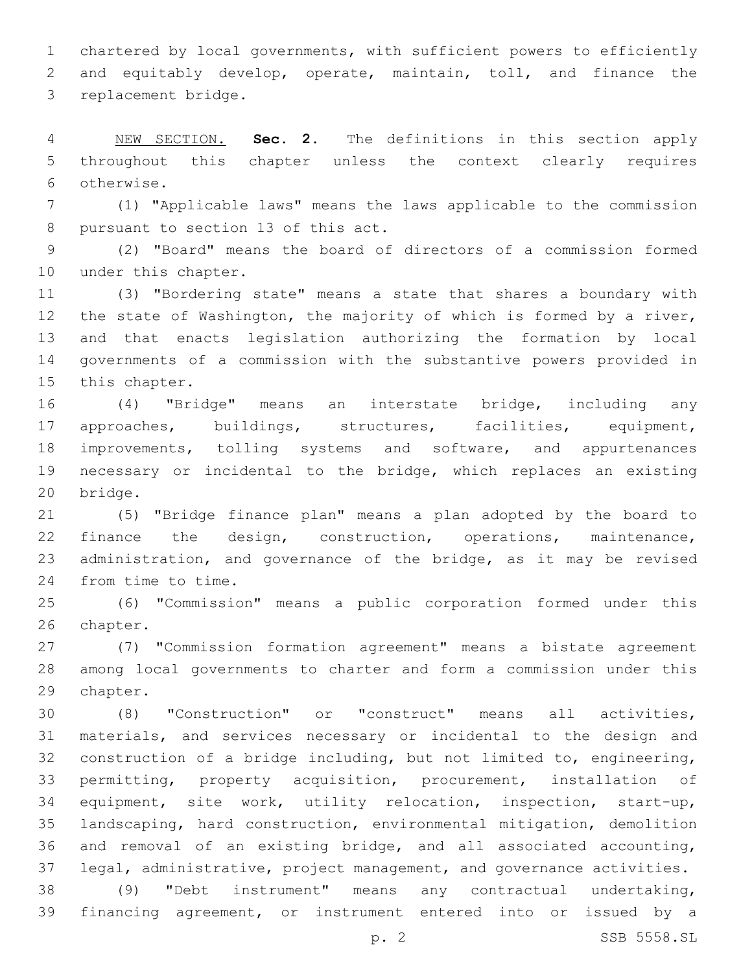chartered by local governments, with sufficient powers to efficiently and equitably develop, operate, maintain, toll, and finance the 3 replacement bridge.

 NEW SECTION. **Sec. 2.** The definitions in this section apply throughout this chapter unless the context clearly requires otherwise.

 (1) "Applicable laws" means the laws applicable to the commission 8 pursuant to section 13 of this act.

 (2) "Board" means the board of directors of a commission formed 10 under this chapter.

 (3) "Bordering state" means a state that shares a boundary with the state of Washington, the majority of which is formed by a river, and that enacts legislation authorizing the formation by local governments of a commission with the substantive powers provided in 15 this chapter.

 (4) "Bridge" means an interstate bridge, including any approaches, buildings, structures, facilities, equipment, improvements, tolling systems and software, and appurtenances necessary or incidental to the bridge, which replaces an existing 20 bridge.

 (5) "Bridge finance plan" means a plan adopted by the board to finance the design, construction, operations, maintenance, administration, and governance of the bridge, as it may be revised 24 from time to time.

 (6) "Commission" means a public corporation formed under this 26 chapter.

 (7) "Commission formation agreement" means a bistate agreement among local governments to charter and form a commission under this 29 chapter.

 (8) "Construction" or "construct" means all activities, materials, and services necessary or incidental to the design and construction of a bridge including, but not limited to, engineering, permitting, property acquisition, procurement, installation of equipment, site work, utility relocation, inspection, start-up, landscaping, hard construction, environmental mitigation, demolition and removal of an existing bridge, and all associated accounting, legal, administrative, project management, and governance activities. (9) "Debt instrument" means any contractual undertaking, financing agreement, or instrument entered into or issued by a

p. 2 SSB 5558.SL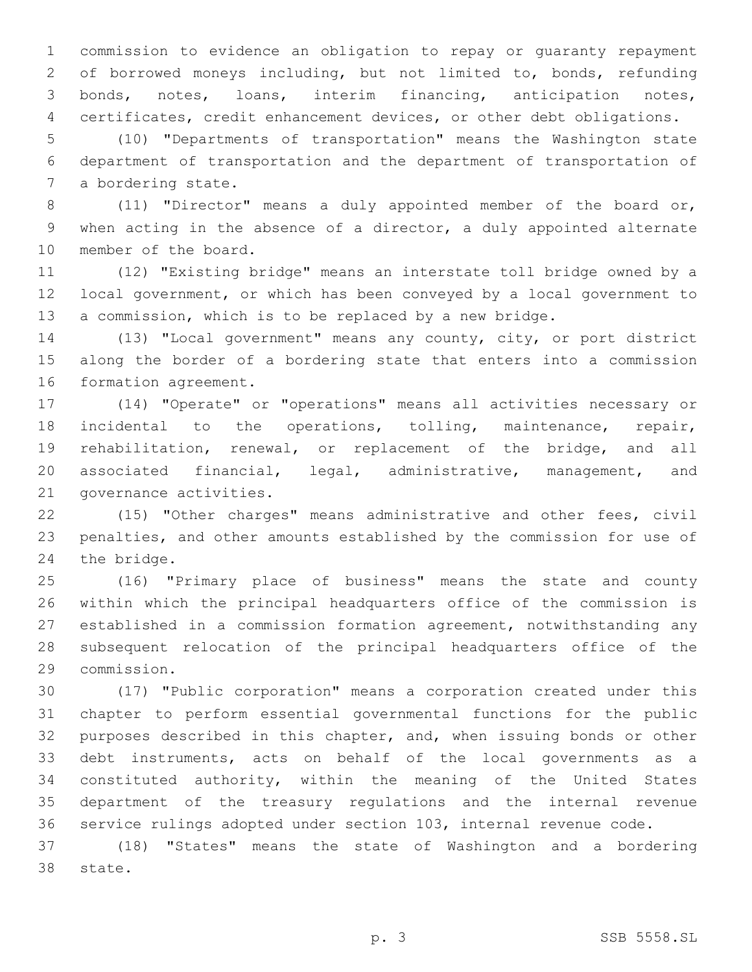commission to evidence an obligation to repay or guaranty repayment of borrowed moneys including, but not limited to, bonds, refunding bonds, notes, loans, interim financing, anticipation notes, certificates, credit enhancement devices, or other debt obligations.

 (10) "Departments of transportation" means the Washington state department of transportation and the department of transportation of 7 a bordering state.

 (11) "Director" means a duly appointed member of the board or, when acting in the absence of a director, a duly appointed alternate 10 member of the board.

 (12) "Existing bridge" means an interstate toll bridge owned by a local government, or which has been conveyed by a local government to a commission, which is to be replaced by a new bridge.

 (13) "Local government" means any county, city, or port district along the border of a bordering state that enters into a commission 16 formation agreement.

 (14) "Operate" or "operations" means all activities necessary or 18 incidental to the operations, tolling, maintenance, repair, rehabilitation, renewal, or replacement of the bridge, and all associated financial, legal, administrative, management, and 21 governance activities.

 (15) "Other charges" means administrative and other fees, civil penalties, and other amounts established by the commission for use of 24 the bridge.

 (16) "Primary place of business" means the state and county within which the principal headquarters office of the commission is established in a commission formation agreement, notwithstanding any subsequent relocation of the principal headquarters office of the commission.29

 (17) "Public corporation" means a corporation created under this chapter to perform essential governmental functions for the public purposes described in this chapter, and, when issuing bonds or other debt instruments, acts on behalf of the local governments as a constituted authority, within the meaning of the United States department of the treasury regulations and the internal revenue service rulings adopted under section 103, internal revenue code.

 (18) "States" means the state of Washington and a bordering 38 state.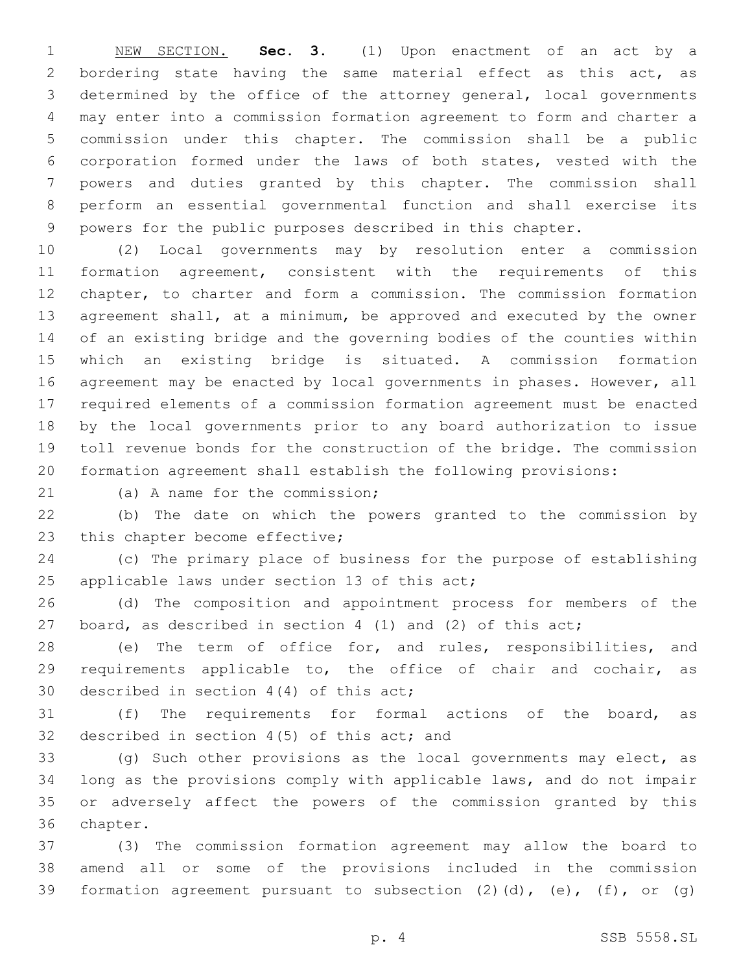NEW SECTION. **Sec. 3.** (1) Upon enactment of an act by a bordering state having the same material effect as this act, as determined by the office of the attorney general, local governments may enter into a commission formation agreement to form and charter a commission under this chapter. The commission shall be a public corporation formed under the laws of both states, vested with the powers and duties granted by this chapter. The commission shall perform an essential governmental function and shall exercise its powers for the public purposes described in this chapter.

 (2) Local governments may by resolution enter a commission formation agreement, consistent with the requirements of this chapter, to charter and form a commission. The commission formation agreement shall, at a minimum, be approved and executed by the owner of an existing bridge and the governing bodies of the counties within which an existing bridge is situated. A commission formation agreement may be enacted by local governments in phases. However, all required elements of a commission formation agreement must be enacted by the local governments prior to any board authorization to issue toll revenue bonds for the construction of the bridge. The commission formation agreement shall establish the following provisions:

21 (a) A name for the commission;

 (b) The date on which the powers granted to the commission by 23 this chapter become effective;

 (c) The primary place of business for the purpose of establishing 25 applicable laws under section 13 of this  $act;$ 

 (d) The composition and appointment process for members of the board, as described in section 4 (1) and (2) of this act;

 (e) The term of office for, and rules, responsibilities, and requirements applicable to, the office of chair and cochair, as 30 described in section  $4(4)$  of this act;

 (f) The requirements for formal actions of the board, as 32 described in section 4(5) of this act; and

 (g) Such other provisions as the local governments may elect, as long as the provisions comply with applicable laws, and do not impair or adversely affect the powers of the commission granted by this 36 chapter.

 (3) The commission formation agreement may allow the board to amend all or some of the provisions included in the commission 39 formation agreement pursuant to subsection  $(2)$   $(d)$ ,  $(e)$ ,  $(f)$ , or  $(g)$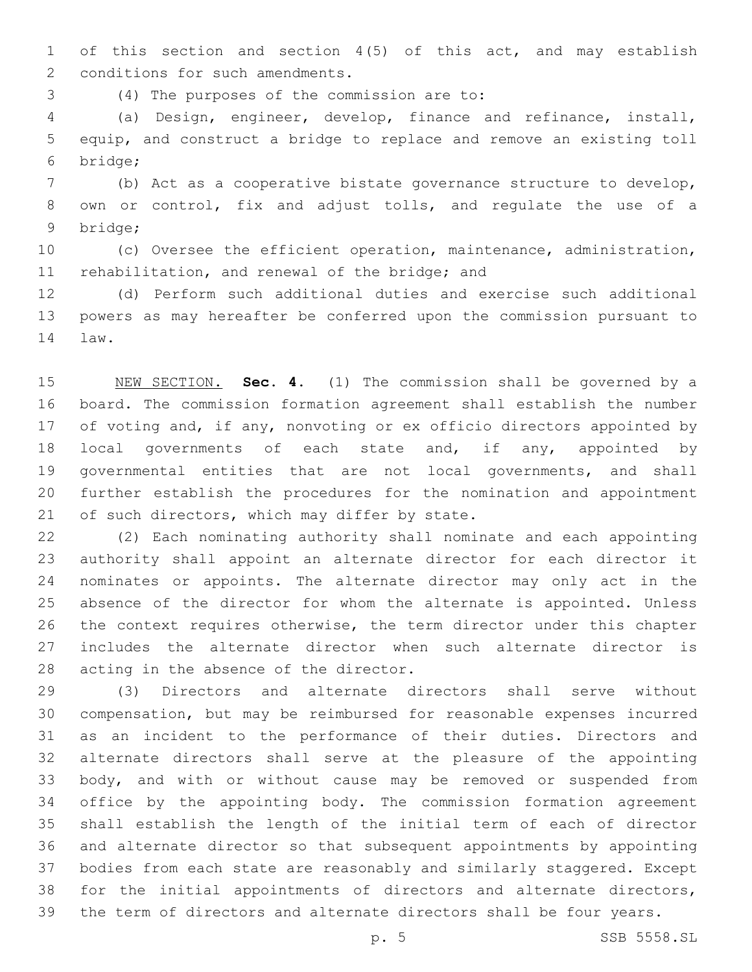of this section and section 4(5) of this act, and may establish 2 conditions for such amendments.

(4) The purposes of the commission are to:3

 (a) Design, engineer, develop, finance and refinance, install, equip, and construct a bridge to replace and remove an existing toll bridge;6

 (b) Act as a cooperative bistate governance structure to develop, own or control, fix and adjust tolls, and regulate the use of a 9 bridge;

 (c) Oversee the efficient operation, maintenance, administration, 11 rehabilitation, and renewal of the bridge; and

 (d) Perform such additional duties and exercise such additional powers as may hereafter be conferred upon the commission pursuant to 14 law.

 NEW SECTION. **Sec. 4.** (1) The commission shall be governed by a board. The commission formation agreement shall establish the number 17 of voting and, if any, nonvoting or ex officio directors appointed by 18 local governments of each state and, if any, appointed by governmental entities that are not local governments, and shall further establish the procedures for the nomination and appointment 21 of such directors, which may differ by state.

 (2) Each nominating authority shall nominate and each appointing authority shall appoint an alternate director for each director it nominates or appoints. The alternate director may only act in the absence of the director for whom the alternate is appointed. Unless the context requires otherwise, the term director under this chapter includes the alternate director when such alternate director is 28 acting in the absence of the director.

 (3) Directors and alternate directors shall serve without compensation, but may be reimbursed for reasonable expenses incurred as an incident to the performance of their duties. Directors and alternate directors shall serve at the pleasure of the appointing body, and with or without cause may be removed or suspended from office by the appointing body. The commission formation agreement shall establish the length of the initial term of each of director and alternate director so that subsequent appointments by appointing bodies from each state are reasonably and similarly staggered. Except for the initial appointments of directors and alternate directors, the term of directors and alternate directors shall be four years.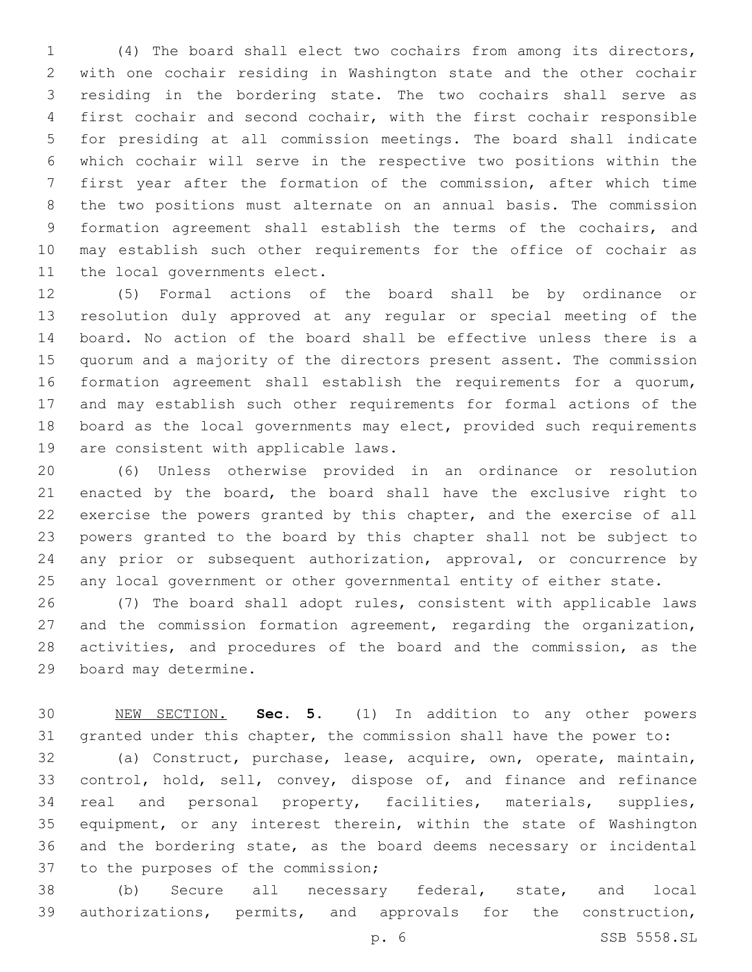(4) The board shall elect two cochairs from among its directors, with one cochair residing in Washington state and the other cochair residing in the bordering state. The two cochairs shall serve as first cochair and second cochair, with the first cochair responsible for presiding at all commission meetings. The board shall indicate which cochair will serve in the respective two positions within the first year after the formation of the commission, after which time the two positions must alternate on an annual basis. The commission formation agreement shall establish the terms of the cochairs, and may establish such other requirements for the office of cochair as 11 the local governments elect.

 (5) Formal actions of the board shall be by ordinance or resolution duly approved at any regular or special meeting of the board. No action of the board shall be effective unless there is a quorum and a majority of the directors present assent. The commission formation agreement shall establish the requirements for a quorum, and may establish such other requirements for formal actions of the board as the local governments may elect, provided such requirements 19 are consistent with applicable laws.

 (6) Unless otherwise provided in an ordinance or resolution enacted by the board, the board shall have the exclusive right to exercise the powers granted by this chapter, and the exercise of all powers granted to the board by this chapter shall not be subject to 24 any prior or subsequent authorization, approval, or concurrence by any local government or other governmental entity of either state.

 (7) The board shall adopt rules, consistent with applicable laws and the commission formation agreement, regarding the organization, activities, and procedures of the board and the commission, as the 29 board may determine.

 NEW SECTION. **Sec. 5.** (1) In addition to any other powers granted under this chapter, the commission shall have the power to:

 (a) Construct, purchase, lease, acquire, own, operate, maintain, control, hold, sell, convey, dispose of, and finance and refinance real and personal property, facilities, materials, supplies, equipment, or any interest therein, within the state of Washington and the bordering state, as the board deems necessary or incidental 37 to the purposes of the commission;

 (b) Secure all necessary federal, state, and local authorizations, permits, and approvals for the construction,

p. 6 SSB 5558.SL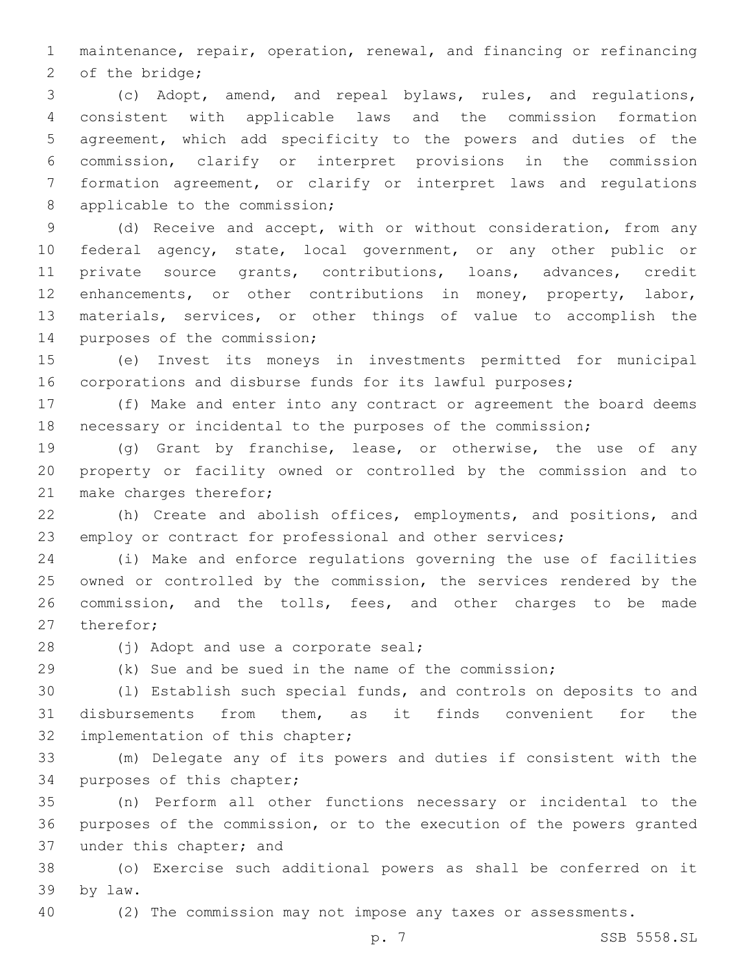maintenance, repair, operation, renewal, and financing or refinancing 2 of the bridge;

 (c) Adopt, amend, and repeal bylaws, rules, and regulations, consistent with applicable laws and the commission formation agreement, which add specificity to the powers and duties of the commission, clarify or interpret provisions in the commission formation agreement, or clarify or interpret laws and regulations 8 applicable to the commission;

 (d) Receive and accept, with or without consideration, from any federal agency, state, local government, or any other public or private source grants, contributions, loans, advances, credit 12 enhancements, or other contributions in money, property, labor, materials, services, or other things of value to accomplish the 14 purposes of the commission;

 (e) Invest its moneys in investments permitted for municipal corporations and disburse funds for its lawful purposes;

 (f) Make and enter into any contract or agreement the board deems necessary or incidental to the purposes of the commission;

 (g) Grant by franchise, lease, or otherwise, the use of any property or facility owned or controlled by the commission and to 21 make charges therefor;

 (h) Create and abolish offices, employments, and positions, and employ or contract for professional and other services;

 (i) Make and enforce regulations governing the use of facilities owned or controlled by the commission, the services rendered by the commission, and the tolls, fees, and other charges to be made 27 therefor;

28 (j) Adopt and use a corporate seal;

(k) Sue and be sued in the name of the commission;

 (l) Establish such special funds, and controls on deposits to and disbursements from them, as it finds convenient for the 32 implementation of this chapter;

 (m) Delegate any of its powers and duties if consistent with the 34 purposes of this chapter;

 (n) Perform all other functions necessary or incidental to the purposes of the commission, or to the execution of the powers granted 37 under this chapter; and

 (o) Exercise such additional powers as shall be conferred on it by law.39

(2) The commission may not impose any taxes or assessments.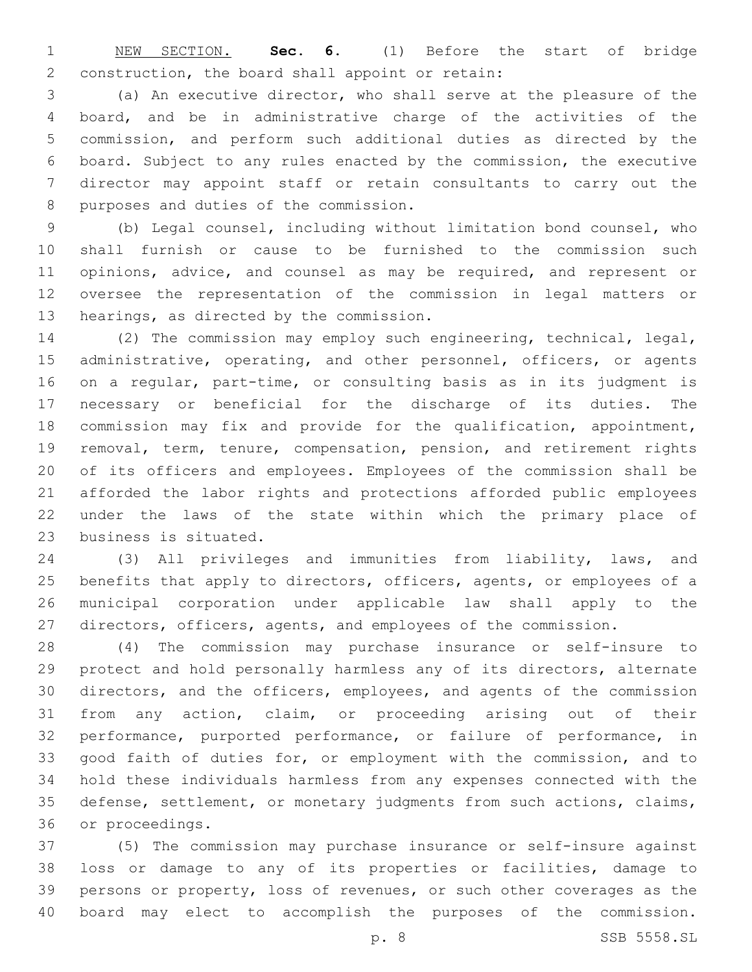NEW SECTION. **Sec. 6.** (1) Before the start of bridge construction, the board shall appoint or retain:

 (a) An executive director, who shall serve at the pleasure of the board, and be in administrative charge of the activities of the commission, and perform such additional duties as directed by the board. Subject to any rules enacted by the commission, the executive director may appoint staff or retain consultants to carry out the 8 purposes and duties of the commission.

 (b) Legal counsel, including without limitation bond counsel, who shall furnish or cause to be furnished to the commission such 11 opinions, advice, and counsel as may be required, and represent or oversee the representation of the commission in legal matters or 13 hearings, as directed by the commission.

 (2) The commission may employ such engineering, technical, legal, 15 administrative, operating, and other personnel, officers, or agents on a regular, part-time, or consulting basis as in its judgment is necessary or beneficial for the discharge of its duties. The commission may fix and provide for the qualification, appointment, removal, term, tenure, compensation, pension, and retirement rights of its officers and employees. Employees of the commission shall be afforded the labor rights and protections afforded public employees under the laws of the state within which the primary place of 23 business is situated.

 (3) All privileges and immunities from liability, laws, and benefits that apply to directors, officers, agents, or employees of a municipal corporation under applicable law shall apply to the directors, officers, agents, and employees of the commission.

 (4) The commission may purchase insurance or self-insure to protect and hold personally harmless any of its directors, alternate directors, and the officers, employees, and agents of the commission from any action, claim, or proceeding arising out of their performance, purported performance, or failure of performance, in good faith of duties for, or employment with the commission, and to hold these individuals harmless from any expenses connected with the defense, settlement, or monetary judgments from such actions, claims, 36 or proceedings.

 (5) The commission may purchase insurance or self-insure against loss or damage to any of its properties or facilities, damage to persons or property, loss of revenues, or such other coverages as the board may elect to accomplish the purposes of the commission.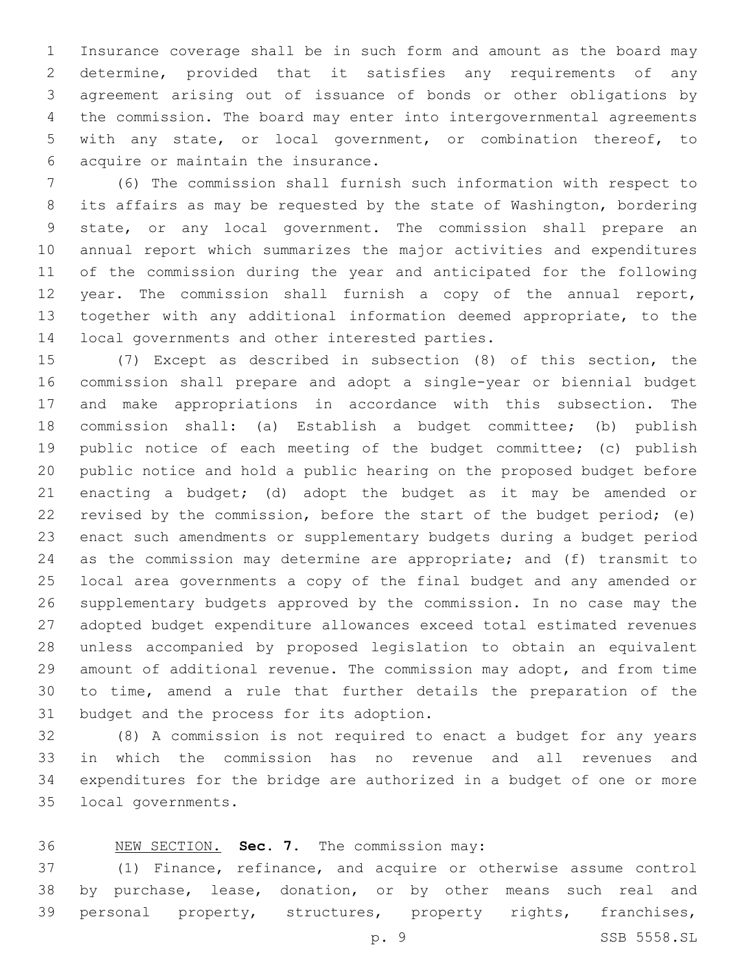Insurance coverage shall be in such form and amount as the board may determine, provided that it satisfies any requirements of any agreement arising out of issuance of bonds or other obligations by the commission. The board may enter into intergovernmental agreements with any state, or local government, or combination thereof, to 6 acquire or maintain the insurance.

 (6) The commission shall furnish such information with respect to its affairs as may be requested by the state of Washington, bordering state, or any local government. The commission shall prepare an annual report which summarizes the major activities and expenditures of the commission during the year and anticipated for the following year. The commission shall furnish a copy of the annual report, together with any additional information deemed appropriate, to the 14 local governments and other interested parties.

 (7) Except as described in subsection (8) of this section, the commission shall prepare and adopt a single-year or biennial budget and make appropriations in accordance with this subsection. The commission shall: (a) Establish a budget committee; (b) publish public notice of each meeting of the budget committee; (c) publish public notice and hold a public hearing on the proposed budget before enacting a budget; (d) adopt the budget as it may be amended or revised by the commission, before the start of the budget period; (e) enact such amendments or supplementary budgets during a budget period as the commission may determine are appropriate; and (f) transmit to local area governments a copy of the final budget and any amended or supplementary budgets approved by the commission. In no case may the adopted budget expenditure allowances exceed total estimated revenues unless accompanied by proposed legislation to obtain an equivalent amount of additional revenue. The commission may adopt, and from time to time, amend a rule that further details the preparation of the 31 budget and the process for its adoption.

 (8) A commission is not required to enact a budget for any years in which the commission has no revenue and all revenues and expenditures for the bridge are authorized in a budget of one or more 35 local governments.

# NEW SECTION. **Sec. 7.** The commission may:

 (1) Finance, refinance, and acquire or otherwise assume control by purchase, lease, donation, or by other means such real and personal property, structures, property rights, franchises,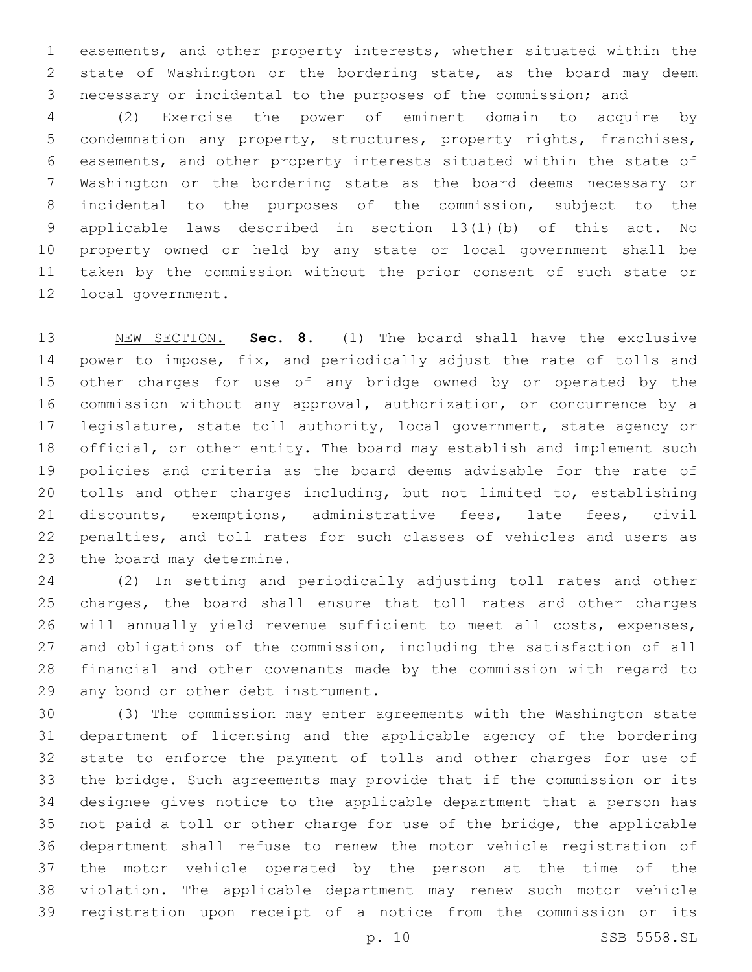easements, and other property interests, whether situated within the state of Washington or the bordering state, as the board may deem necessary or incidental to the purposes of the commission; and

 (2) Exercise the power of eminent domain to acquire by condemnation any property, structures, property rights, franchises, easements, and other property interests situated within the state of Washington or the bordering state as the board deems necessary or incidental to the purposes of the commission, subject to the applicable laws described in section 13(1)(b) of this act. No property owned or held by any state or local government shall be taken by the commission without the prior consent of such state or 12 local government.

 NEW SECTION. **Sec. 8.** (1) The board shall have the exclusive 14 power to impose, fix, and periodically adjust the rate of tolls and other charges for use of any bridge owned by or operated by the commission without any approval, authorization, or concurrence by a legislature, state toll authority, local government, state agency or official, or other entity. The board may establish and implement such policies and criteria as the board deems advisable for the rate of tolls and other charges including, but not limited to, establishing discounts, exemptions, administrative fees, late fees, civil penalties, and toll rates for such classes of vehicles and users as the board may determine.

 (2) In setting and periodically adjusting toll rates and other charges, the board shall ensure that toll rates and other charges will annually yield revenue sufficient to meet all costs, expenses, and obligations of the commission, including the satisfaction of all financial and other covenants made by the commission with regard to 29 any bond or other debt instrument.

 (3) The commission may enter agreements with the Washington state department of licensing and the applicable agency of the bordering state to enforce the payment of tolls and other charges for use of the bridge. Such agreements may provide that if the commission or its designee gives notice to the applicable department that a person has not paid a toll or other charge for use of the bridge, the applicable department shall refuse to renew the motor vehicle registration of the motor vehicle operated by the person at the time of the violation. The applicable department may renew such motor vehicle registration upon receipt of a notice from the commission or its

p. 10 SSB 5558.SL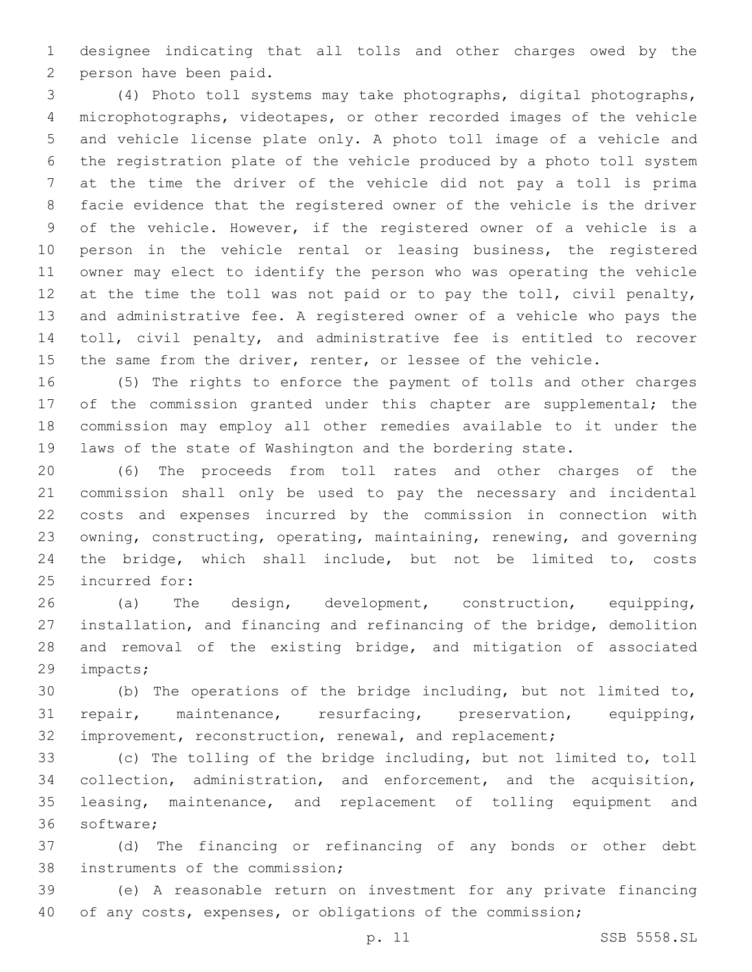designee indicating that all tolls and other charges owed by the 2 person have been paid.

 (4) Photo toll systems may take photographs, digital photographs, microphotographs, videotapes, or other recorded images of the vehicle and vehicle license plate only. A photo toll image of a vehicle and the registration plate of the vehicle produced by a photo toll system at the time the driver of the vehicle did not pay a toll is prima facie evidence that the registered owner of the vehicle is the driver of the vehicle. However, if the registered owner of a vehicle is a person in the vehicle rental or leasing business, the registered owner may elect to identify the person who was operating the vehicle at the time the toll was not paid or to pay the toll, civil penalty, and administrative fee. A registered owner of a vehicle who pays the toll, civil penalty, and administrative fee is entitled to recover 15 the same from the driver, renter, or lessee of the vehicle.

 (5) The rights to enforce the payment of tolls and other charges 17 of the commission granted under this chapter are supplemental; the commission may employ all other remedies available to it under the laws of the state of Washington and the bordering state.

 (6) The proceeds from toll rates and other charges of the commission shall only be used to pay the necessary and incidental costs and expenses incurred by the commission in connection with owning, constructing, operating, maintaining, renewing, and governing the bridge, which shall include, but not be limited to, costs 25 incurred for:

 (a) The design, development, construction, equipping, installation, and financing and refinancing of the bridge, demolition and removal of the existing bridge, and mitigation of associated 29 impacts;

 (b) The operations of the bridge including, but not limited to, repair, maintenance, resurfacing, preservation, equipping, improvement, reconstruction, renewal, and replacement;

 (c) The tolling of the bridge including, but not limited to, toll collection, administration, and enforcement, and the acquisition, leasing, maintenance, and replacement of tolling equipment and 36 software;

 (d) The financing or refinancing of any bonds or other debt 38 instruments of the commission;

 (e) A reasonable return on investment for any private financing of any costs, expenses, or obligations of the commission;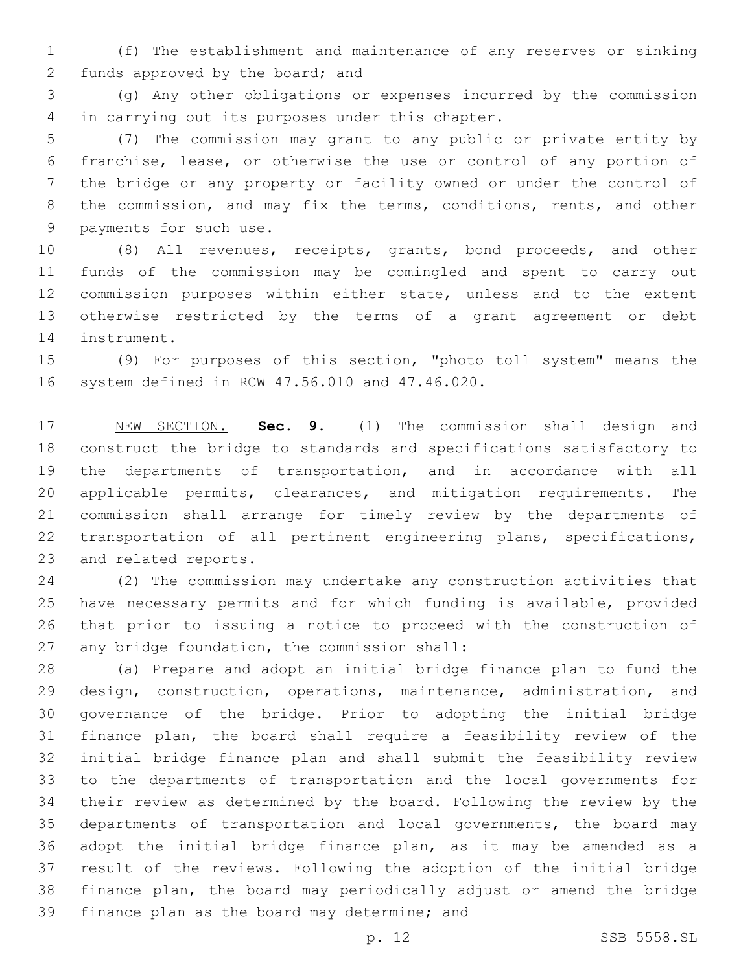(f) The establishment and maintenance of any reserves or sinking 2 funds approved by the board; and

 (g) Any other obligations or expenses incurred by the commission 4 in carrying out its purposes under this chapter.

 (7) The commission may grant to any public or private entity by franchise, lease, or otherwise the use or control of any portion of the bridge or any property or facility owned or under the control of 8 the commission, and may fix the terms, conditions, rents, and other 9 payments for such use.

 (8) All revenues, receipts, grants, bond proceeds, and other funds of the commission may be comingled and spent to carry out commission purposes within either state, unless and to the extent otherwise restricted by the terms of a grant agreement or debt 14 instrument.

 (9) For purposes of this section, "photo toll system" means the 16 system defined in RCW 47.56.010 and 47.46.020.

 NEW SECTION. **Sec. 9.** (1) The commission shall design and construct the bridge to standards and specifications satisfactory to the departments of transportation, and in accordance with all applicable permits, clearances, and mitigation requirements. The commission shall arrange for timely review by the departments of transportation of all pertinent engineering plans, specifications, and related reports.

 (2) The commission may undertake any construction activities that have necessary permits and for which funding is available, provided that prior to issuing a notice to proceed with the construction of 27 any bridge foundation, the commission shall:

 (a) Prepare and adopt an initial bridge finance plan to fund the 29 design, construction, operations, maintenance, administration, and governance of the bridge. Prior to adopting the initial bridge finance plan, the board shall require a feasibility review of the initial bridge finance plan and shall submit the feasibility review to the departments of transportation and the local governments for their review as determined by the board. Following the review by the departments of transportation and local governments, the board may adopt the initial bridge finance plan, as it may be amended as a result of the reviews. Following the adoption of the initial bridge finance plan, the board may periodically adjust or amend the bridge 39 finance plan as the board may determine; and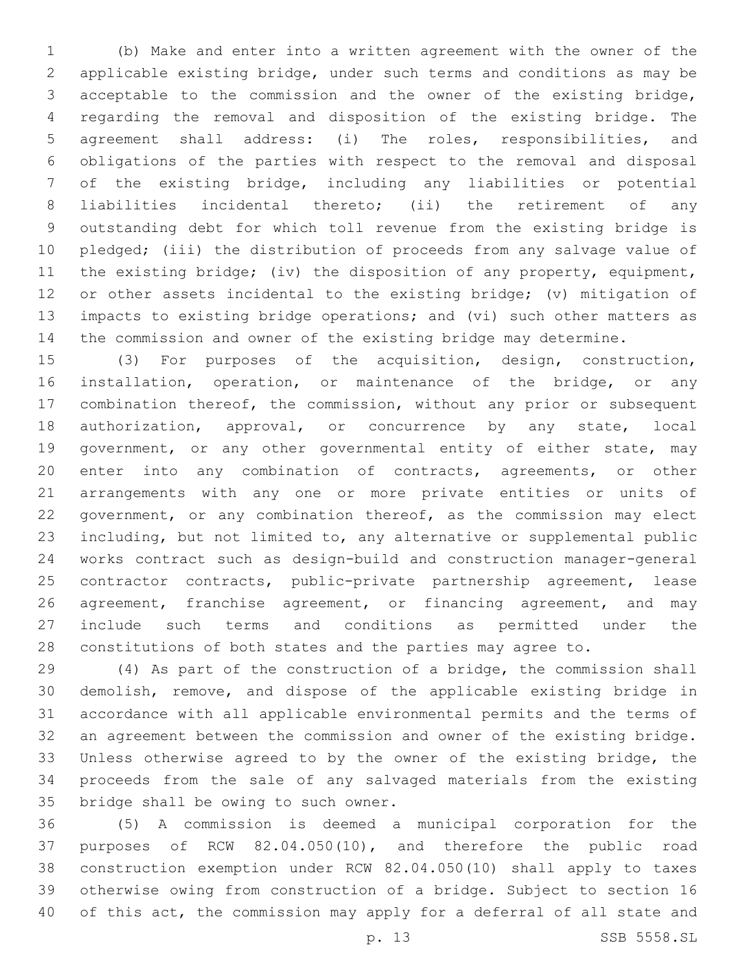(b) Make and enter into a written agreement with the owner of the applicable existing bridge, under such terms and conditions as may be acceptable to the commission and the owner of the existing bridge, regarding the removal and disposition of the existing bridge. The agreement shall address: (i) The roles, responsibilities, and obligations of the parties with respect to the removal and disposal of the existing bridge, including any liabilities or potential liabilities incidental thereto; (ii) the retirement of any outstanding debt for which toll revenue from the existing bridge is pledged; (iii) the distribution of proceeds from any salvage value of the existing bridge; (iv) the disposition of any property, equipment, or other assets incidental to the existing bridge; (v) mitigation of impacts to existing bridge operations; and (vi) such other matters as the commission and owner of the existing bridge may determine.

 (3) For purposes of the acquisition, design, construction, installation, operation, or maintenance of the bridge, or any combination thereof, the commission, without any prior or subsequent 18 authorization, approval, or concurrence by any state, local 19 government, or any other governmental entity of either state, may enter into any combination of contracts, agreements, or other arrangements with any one or more private entities or units of government, or any combination thereof, as the commission may elect including, but not limited to, any alternative or supplemental public works contract such as design-build and construction manager-general contractor contracts, public-private partnership agreement, lease 26 agreement, franchise agreement, or financing agreement, and may include such terms and conditions as permitted under the constitutions of both states and the parties may agree to.

 (4) As part of the construction of a bridge, the commission shall demolish, remove, and dispose of the applicable existing bridge in accordance with all applicable environmental permits and the terms of an agreement between the commission and owner of the existing bridge. Unless otherwise agreed to by the owner of the existing bridge, the proceeds from the sale of any salvaged materials from the existing 35 bridge shall be owing to such owner.

 (5) A commission is deemed a municipal corporation for the purposes of RCW 82.04.050(10), and therefore the public road construction exemption under RCW 82.04.050(10) shall apply to taxes otherwise owing from construction of a bridge. Subject to section 16 of this act, the commission may apply for a deferral of all state and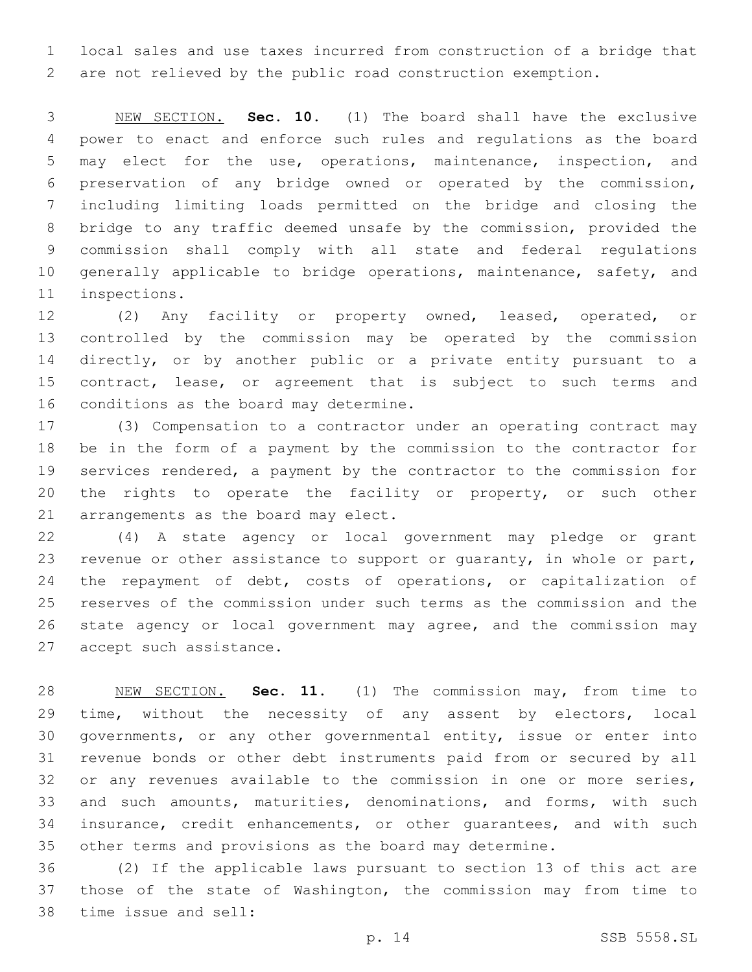local sales and use taxes incurred from construction of a bridge that are not relieved by the public road construction exemption.

 NEW SECTION. **Sec. 10.** (1) The board shall have the exclusive power to enact and enforce such rules and regulations as the board may elect for the use, operations, maintenance, inspection, and preservation of any bridge owned or operated by the commission, including limiting loads permitted on the bridge and closing the bridge to any traffic deemed unsafe by the commission, provided the commission shall comply with all state and federal regulations generally applicable to bridge operations, maintenance, safety, and inspections.

 (2) Any facility or property owned, leased, operated, or controlled by the commission may be operated by the commission directly, or by another public or a private entity pursuant to a contract, lease, or agreement that is subject to such terms and 16 conditions as the board may determine.

 (3) Compensation to a contractor under an operating contract may be in the form of a payment by the commission to the contractor for services rendered, a payment by the contractor to the commission for 20 the rights to operate the facility or property, or such other 21 arrangements as the board may elect.

 (4) A state agency or local government may pledge or grant revenue or other assistance to support or guaranty, in whole or part, the repayment of debt, costs of operations, or capitalization of reserves of the commission under such terms as the commission and the state agency or local government may agree, and the commission may 27 accept such assistance.

 NEW SECTION. **Sec. 11.** (1) The commission may, from time to time, without the necessity of any assent by electors, local governments, or any other governmental entity, issue or enter into revenue bonds or other debt instruments paid from or secured by all or any revenues available to the commission in one or more series, and such amounts, maturities, denominations, and forms, with such insurance, credit enhancements, or other guarantees, and with such other terms and provisions as the board may determine.

 (2) If the applicable laws pursuant to section 13 of this act are those of the state of Washington, the commission may from time to 38 time issue and sell: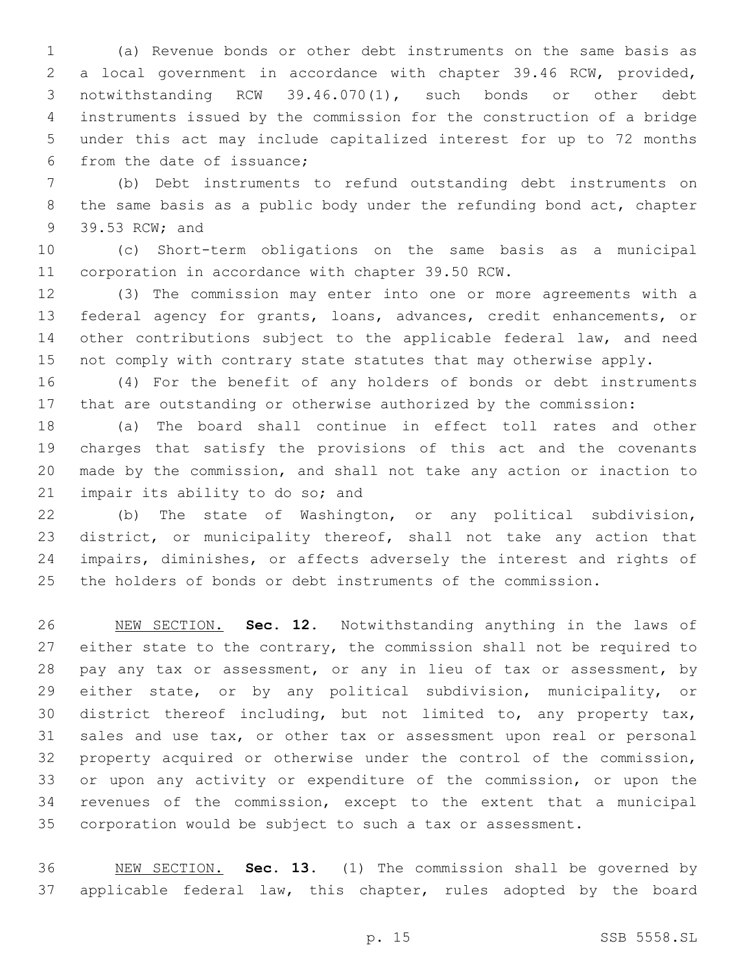(a) Revenue bonds or other debt instruments on the same basis as a local government in accordance with chapter 39.46 RCW, provided, notwithstanding RCW 39.46.070(1), such bonds or other debt instruments issued by the commission for the construction of a bridge under this act may include capitalized interest for up to 72 months 6 from the date of issuance;

 (b) Debt instruments to refund outstanding debt instruments on the same basis as a public body under the refunding bond act, chapter 39.53 RCW; and9

 (c) Short-term obligations on the same basis as a municipal 11 corporation in accordance with chapter 39.50 RCW.

 (3) The commission may enter into one or more agreements with a federal agency for grants, loans, advances, credit enhancements, or other contributions subject to the applicable federal law, and need 15 not comply with contrary state statutes that may otherwise apply.

 (4) For the benefit of any holders of bonds or debt instruments that are outstanding or otherwise authorized by the commission:

 (a) The board shall continue in effect toll rates and other charges that satisfy the provisions of this act and the covenants made by the commission, and shall not take any action or inaction to 21 impair its ability to do so; and

 (b) The state of Washington, or any political subdivision, district, or municipality thereof, shall not take any action that impairs, diminishes, or affects adversely the interest and rights of the holders of bonds or debt instruments of the commission.

 NEW SECTION. **Sec. 12.** Notwithstanding anything in the laws of 27 either state to the contrary, the commission shall not be required to pay any tax or assessment, or any in lieu of tax or assessment, by either state, or by any political subdivision, municipality, or district thereof including, but not limited to, any property tax, sales and use tax, or other tax or assessment upon real or personal property acquired or otherwise under the control of the commission, or upon any activity or expenditure of the commission, or upon the revenues of the commission, except to the extent that a municipal corporation would be subject to such a tax or assessment.

 NEW SECTION. **Sec. 13.** (1) The commission shall be governed by applicable federal law, this chapter, rules adopted by the board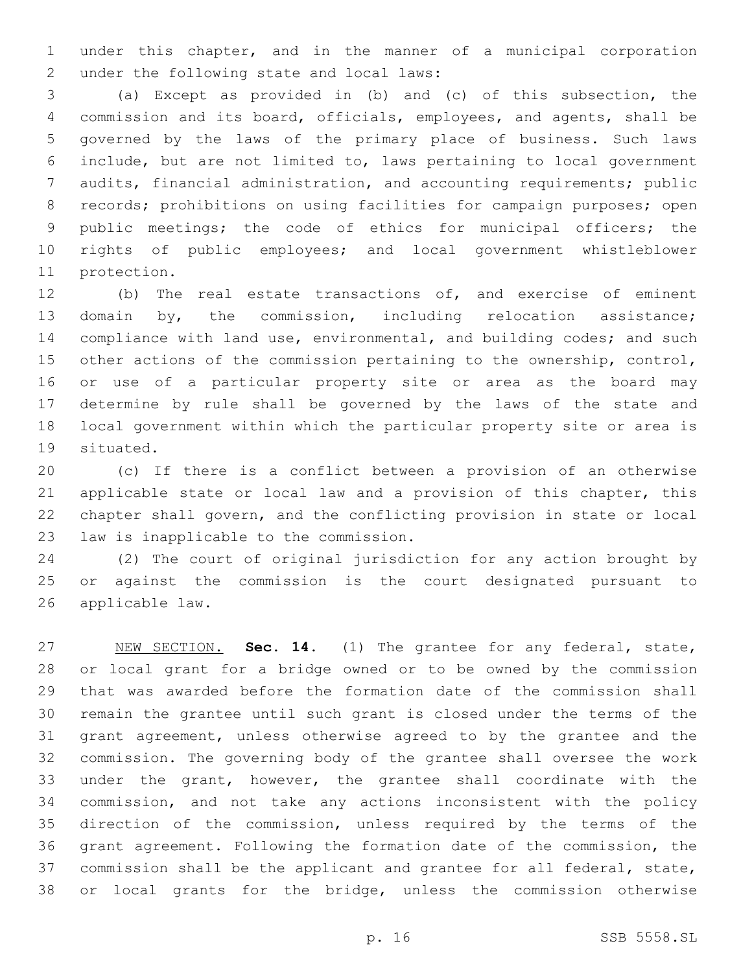under this chapter, and in the manner of a municipal corporation 2 under the following state and local laws:

 (a) Except as provided in (b) and (c) of this subsection, the commission and its board, officials, employees, and agents, shall be governed by the laws of the primary place of business. Such laws include, but are not limited to, laws pertaining to local government audits, financial administration, and accounting requirements; public records; prohibitions on using facilities for campaign purposes; open public meetings; the code of ethics for municipal officers; the rights of public employees; and local government whistleblower 11 protection.

 (b) The real estate transactions of, and exercise of eminent 13 domain by, the commission, including relocation assistance; compliance with land use, environmental, and building codes; and such other actions of the commission pertaining to the ownership, control, or use of a particular property site or area as the board may determine by rule shall be governed by the laws of the state and local government within which the particular property site or area is 19 situated.

 (c) If there is a conflict between a provision of an otherwise applicable state or local law and a provision of this chapter, this chapter shall govern, and the conflicting provision in state or local 23 law is inapplicable to the commission.

 (2) The court of original jurisdiction for any action brought by or against the commission is the court designated pursuant to 26 applicable law.

 NEW SECTION. **Sec. 14.** (1) The grantee for any federal, state, or local grant for a bridge owned or to be owned by the commission that was awarded before the formation date of the commission shall remain the grantee until such grant is closed under the terms of the grant agreement, unless otherwise agreed to by the grantee and the commission. The governing body of the grantee shall oversee the work under the grant, however, the grantee shall coordinate with the commission, and not take any actions inconsistent with the policy direction of the commission, unless required by the terms of the grant agreement. Following the formation date of the commission, the commission shall be the applicant and grantee for all federal, state, or local grants for the bridge, unless the commission otherwise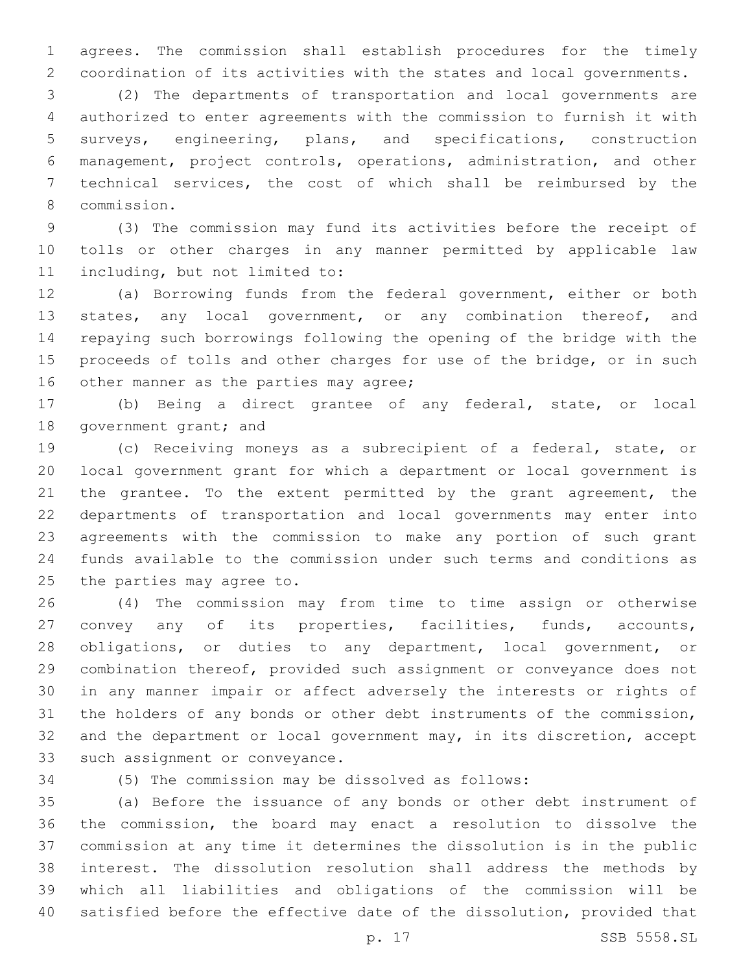agrees. The commission shall establish procedures for the timely coordination of its activities with the states and local governments.

 (2) The departments of transportation and local governments are authorized to enter agreements with the commission to furnish it with surveys, engineering, plans, and specifications, construction management, project controls, operations, administration, and other technical services, the cost of which shall be reimbursed by the commission.8

 (3) The commission may fund its activities before the receipt of tolls or other charges in any manner permitted by applicable law 11 including, but not limited to:

 (a) Borrowing funds from the federal government, either or both 13 states, any local government, or any combination thereof, and repaying such borrowings following the opening of the bridge with the proceeds of tolls and other charges for use of the bridge, or in such 16 other manner as the parties may agree;

 (b) Being a direct grantee of any federal, state, or local 18 government grant; and

 (c) Receiving moneys as a subrecipient of a federal, state, or local government grant for which a department or local government is 21 the grantee. To the extent permitted by the grant agreement, the departments of transportation and local governments may enter into agreements with the commission to make any portion of such grant funds available to the commission under such terms and conditions as 25 the parties may agree to.

 (4) The commission may from time to time assign or otherwise convey any of its properties, facilities, funds, accounts, obligations, or duties to any department, local government, or combination thereof, provided such assignment or conveyance does not in any manner impair or affect adversely the interests or rights of the holders of any bonds or other debt instruments of the commission, and the department or local government may, in its discretion, accept 33 such assignment or conveyance.

(5) The commission may be dissolved as follows:

 (a) Before the issuance of any bonds or other debt instrument of the commission, the board may enact a resolution to dissolve the commission at any time it determines the dissolution is in the public interest. The dissolution resolution shall address the methods by which all liabilities and obligations of the commission will be satisfied before the effective date of the dissolution, provided that

p. 17 SSB 5558.SL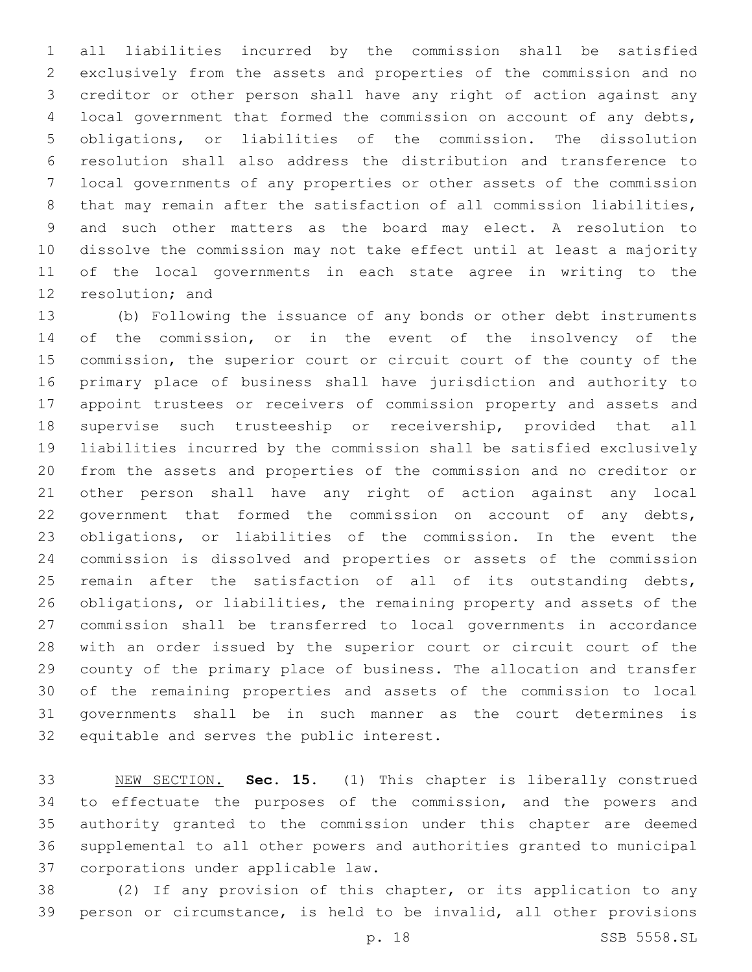all liabilities incurred by the commission shall be satisfied exclusively from the assets and properties of the commission and no creditor or other person shall have any right of action against any local government that formed the commission on account of any debts, obligations, or liabilities of the commission. The dissolution resolution shall also address the distribution and transference to local governments of any properties or other assets of the commission 8 that may remain after the satisfaction of all commission liabilities, and such other matters as the board may elect. A resolution to dissolve the commission may not take effect until at least a majority of the local governments in each state agree in writing to the 12 resolution; and

 (b) Following the issuance of any bonds or other debt instruments 14 of the commission, or in the event of the insolvency of the commission, the superior court or circuit court of the county of the primary place of business shall have jurisdiction and authority to appoint trustees or receivers of commission property and assets and supervise such trusteeship or receivership, provided that all liabilities incurred by the commission shall be satisfied exclusively from the assets and properties of the commission and no creditor or other person shall have any right of action against any local government that formed the commission on account of any debts, obligations, or liabilities of the commission. In the event the commission is dissolved and properties or assets of the commission 25 remain after the satisfaction of all of its outstanding debts, obligations, or liabilities, the remaining property and assets of the commission shall be transferred to local governments in accordance with an order issued by the superior court or circuit court of the county of the primary place of business. The allocation and transfer of the remaining properties and assets of the commission to local governments shall be in such manner as the court determines is 32 equitable and serves the public interest.

 NEW SECTION. **Sec. 15.** (1) This chapter is liberally construed to effectuate the purposes of the commission, and the powers and authority granted to the commission under this chapter are deemed supplemental to all other powers and authorities granted to municipal corporations under applicable law.

 (2) If any provision of this chapter, or its application to any person or circumstance, is held to be invalid, all other provisions

p. 18 SSB 5558.SL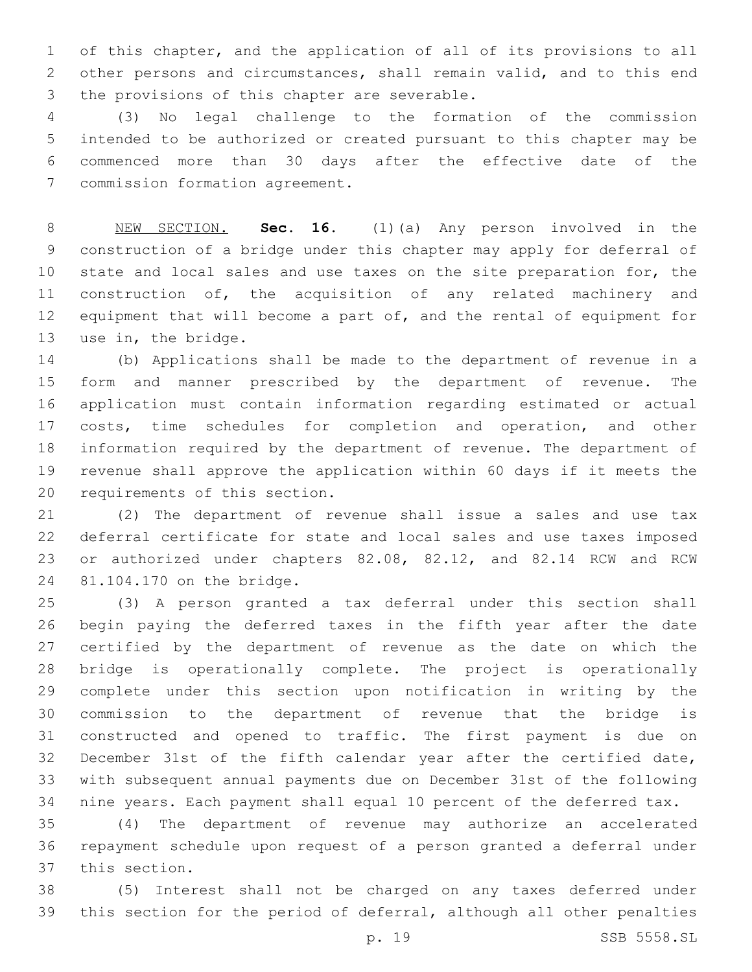of this chapter, and the application of all of its provisions to all other persons and circumstances, shall remain valid, and to this end 3 the provisions of this chapter are severable.

 (3) No legal challenge to the formation of the commission intended to be authorized or created pursuant to this chapter may be commenced more than 30 days after the effective date of the 7 commission formation agreement.

 NEW SECTION. **Sec. 16.** (1)(a) Any person involved in the construction of a bridge under this chapter may apply for deferral of state and local sales and use taxes on the site preparation for, the construction of, the acquisition of any related machinery and 12 equipment that will become a part of, and the rental of equipment for use in, the bridge.

 (b) Applications shall be made to the department of revenue in a form and manner prescribed by the department of revenue. The application must contain information regarding estimated or actual costs, time schedules for completion and operation, and other information required by the department of revenue. The department of revenue shall approve the application within 60 days if it meets the 20 requirements of this section.

 (2) The department of revenue shall issue a sales and use tax deferral certificate for state and local sales and use taxes imposed or authorized under chapters 82.08, 82.12, and 82.14 RCW and RCW 24 81.104.170 on the bridge.

 (3) A person granted a tax deferral under this section shall begin paying the deferred taxes in the fifth year after the date certified by the department of revenue as the date on which the bridge is operationally complete. The project is operationally complete under this section upon notification in writing by the commission to the department of revenue that the bridge is constructed and opened to traffic. The first payment is due on December 31st of the fifth calendar year after the certified date, with subsequent annual payments due on December 31st of the following nine years. Each payment shall equal 10 percent of the deferred tax.

 (4) The department of revenue may authorize an accelerated repayment schedule upon request of a person granted a deferral under 37 this section.

 (5) Interest shall not be charged on any taxes deferred under this section for the period of deferral, although all other penalties

p. 19 SSB 5558.SL